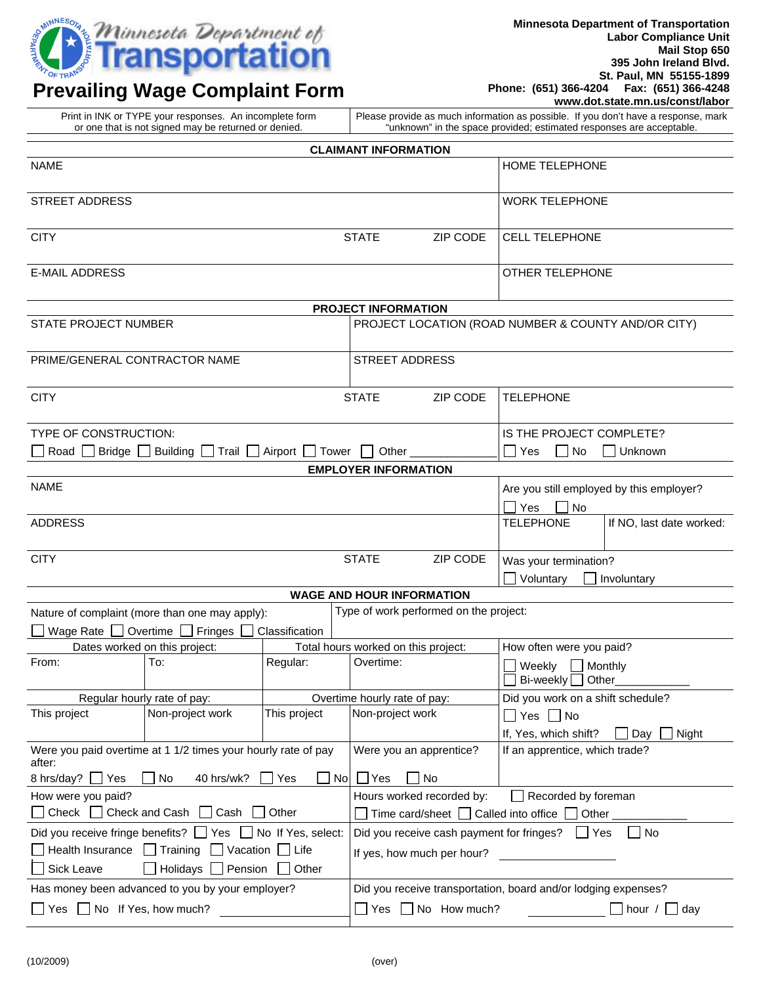

## **Prevailing Wage Complaint Form**

**Minnesota Department of Transportation Labor Compliance Unit Mail Stop 650 395 John Ireland Blvd. St. Paul, MN 55155-1899 Phone: (651) 366-4204 Fax: (651) 366-4248 www.dot.state.mn.us/const/labor**

| or one that is not signed may be returned or denied.                                                                                                                      |                                                                                      | "unknown" in the space provided; estimated responses are acceptable.          |  |
|---------------------------------------------------------------------------------------------------------------------------------------------------------------------------|--------------------------------------------------------------------------------------|-------------------------------------------------------------------------------|--|
| <b>CLAIMANT INFORMATION</b>                                                                                                                                               |                                                                                      |                                                                               |  |
| <b>NAME</b>                                                                                                                                                               |                                                                                      | HOME TELEPHONE                                                                |  |
| <b>STREET ADDRESS</b>                                                                                                                                                     |                                                                                      | <b>WORK TELEPHONE</b>                                                         |  |
| <b>CITY</b>                                                                                                                                                               | <b>STATE</b><br>ZIP CODE                                                             | <b>CELL TELEPHONE</b>                                                         |  |
| <b>E-MAIL ADDRESS</b>                                                                                                                                                     |                                                                                      | OTHER TELEPHONE                                                               |  |
| PROJECT INFORMATION                                                                                                                                                       |                                                                                      |                                                                               |  |
| STATE PROJECT NUMBER                                                                                                                                                      |                                                                                      | PROJECT LOCATION (ROAD NUMBER & COUNTY AND/OR CITY)                           |  |
| PRIME/GENERAL CONTRACTOR NAME                                                                                                                                             | <b>STREET ADDRESS</b>                                                                |                                                                               |  |
| <b>CITY</b>                                                                                                                                                               | <b>STATE</b><br>ZIP CODE                                                             | <b>TELEPHONE</b>                                                              |  |
| TYPE OF CONSTRUCTION:                                                                                                                                                     |                                                                                      | IS THE PROJECT COMPLETE?                                                      |  |
| Road Bridge Building<br>Trail $\Box$ Airport $\Box$ Tower $\Box$                                                                                                          | Other                                                                                | Yes<br>$\Box$ No<br>Unknown                                                   |  |
|                                                                                                                                                                           | <b>EMPLOYER INFORMATION</b>                                                          |                                                                               |  |
| <b>NAME</b>                                                                                                                                                               |                                                                                      | Are you still employed by this employer?                                      |  |
|                                                                                                                                                                           |                                                                                      | ∐ Yes<br>No                                                                   |  |
| <b>ADDRESS</b>                                                                                                                                                            |                                                                                      | <b>TELEPHONE</b><br>If NO, last date worked:                                  |  |
| <b>CITY</b>                                                                                                                                                               | <b>STATE</b><br>ZIP CODE                                                             | Was your termination?<br>Voluntary<br>Involuntary                             |  |
| <b>WAGE AND HOUR INFORMATION</b>                                                                                                                                          |                                                                                      |                                                                               |  |
| Type of work performed on the project:<br>Nature of complaint (more than one may apply):                                                                                  |                                                                                      |                                                                               |  |
| Wage Rate $\Box$ Overtime $\Box$<br>Fringes L<br>Classification<br>Dates worked on this project:                                                                          |                                                                                      |                                                                               |  |
| Regular:<br>To:<br>From:                                                                                                                                                  | Total hours worked on this project:<br>Overtime:                                     | How often were you paid?<br>$\Box$ Weekly $\Box$ Monthly<br>Bi-weekly □ Other |  |
| Regular hourly rate of pay:                                                                                                                                               | Overtime hourly rate of pay:                                                         | Did you work on a shift schedule?                                             |  |
| This project<br>Non-project work<br>This project                                                                                                                          | Non-project work                                                                     | $\Box$ Yes $\Box$ No                                                          |  |
|                                                                                                                                                                           |                                                                                      | If, Yes, which shift?<br>$\Box$ Night<br>Day                                  |  |
| Were you paid overtime at 1 1/2 times your hourly rate of pay<br>after:                                                                                                   | Were you an apprentice?                                                              | If an apprentice, which trade?                                                |  |
| 8 hrs/day?   Yes<br>No<br>40 hrs/wk?<br>$\Box$ No<br>Yes                                                                                                                  | $\Box$ Yes<br>No                                                                     |                                                                               |  |
| How were you paid?<br>□ Check □ Check and Cash □ Cash □ Other                                                                                                             | Hours worked recorded by:                                                            | Recorded by foreman                                                           |  |
|                                                                                                                                                                           | Time card/sheet $\Box$ Called into office $\Box$<br>Other<br>$\Box$ Yes<br>$\Box$ No |                                                                               |  |
| Did you receive fringe benefits? Ves No If Yes, select:<br>$\Box$ Health Insurance<br>Training Vacation Life<br>Sick Leave<br>$\Box$ Holidays $\Box$ Pension $\Box$ Other | Did you receive cash payment for fringes?<br>If yes, how much per hour?              |                                                                               |  |
| Has money been advanced to you by your employer?<br>Did you receive transportation, board and/or lodging expenses?                                                        |                                                                                      |                                                                               |  |
| $\Box$ Yes $\Box$ No If Yes, how much?                                                                                                                                    | $\Box$ Yes $\Box$ No How much?<br>$\vert$ hour / $\vert$ day                         |                                                                               |  |